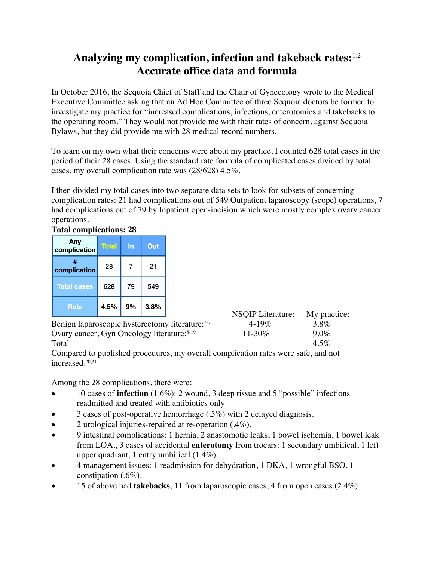## **Analyzing my complication, infection and takeback rates:**1,2 **Accurate office data and formula**

In October 2016, the Sequoia Chief of Staff and the Chair of Gynecology wrote to the Medical Executive Committee asking that an Ad Hoc Committee of three Sequoia doctors be formed to investigate my practice for "increased complications, infections, enterotomies and takebacks to the operating room." They would not provide me with their rates of concern, against Sequoia Bylaws, but they did provide me with 28 medical record numbers.

To learn on my own what their concerns were about my practice, I counted 628 total cases in the period of their 28 cases. Using the standard rate formula of complicated cases divided by total cases, my overall complication rate was (28/628) 4.5%.

I then divided my total cases into two separate data sets to look for subsets of concerning complication rates: 21 had complications out of 549 Outpatient laparoscopy (scope) operations, 7 had complications out of 79 by Inpatient open-incision which were mostly complex ovary cancer operations.

### **Total complications: 28**

| Any<br>complication | Total | In | Out  |
|---------------------|-------|----|------|
| complication        | 28    | 7  | 21   |
| <b>Total cases</b>  | 628   | 79 | 549  |
| <b>Rate</b>         | 4.5%  | 9% | 3.8% |

|                                                        | NSOIP Literature: My practice: |         |  |
|--------------------------------------------------------|--------------------------------|---------|--|
| Benign laparoscopic hysterectomy literature: 3-7       | $4 - 19\%$                     | 3.8%    |  |
| Ovary cancer, Gyn Oncology literature: <sup>8-19</sup> | 11-30\%                        | $9.0\%$ |  |
| $\mathbf{m}$ $\mathbf{1}$                              |                                |         |  |

Total  $4.5\%$ Compared to published procedures, my overall complication rates were safe, and not increased.20,21

Among the 28 complications, there were:

- 10 cases of **infection** (1.6%): 2 wound, 3 deep tissue and 5 "possible" infections readmitted and treated with antibiotics only
- 3 cases of post-operative hemorrhage (.5%) with 2 delayed diagnosis.
- 2 urological injuries-repaired at re-operation (.4%).
- 9 intestinal complications: 1 hernia, 2 anastomotic leaks, 1 bowel ischemia, 1 bowel leak from LOA., 3 cases of accidental **enterotomy** from trocars: 1 secondary umbilical, 1 left upper quadrant, 1 entry umbilical (1.4%).
- 4 management issues: 1 readmission for dehydration, 1 DKA, 1 wrongful BSO, 1 constipation (.6%).
- 15 of above had **takebacks**, 11 from laparoscopic cases, 4 from open cases.  $(2.4\%)$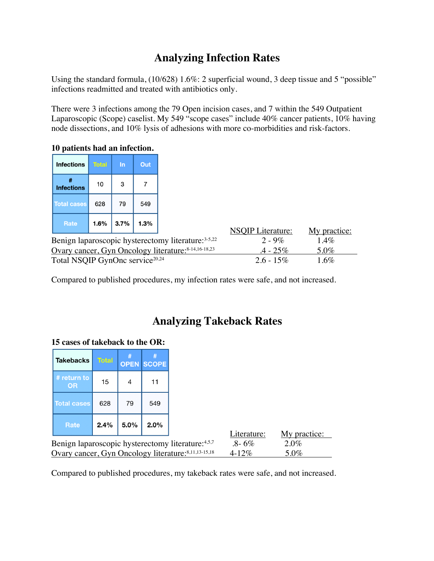# **Analyzing Infection Rates**

Using the standard formula, (10/628) 1.6%: 2 superficial wound, 3 deep tissue and 5 "possible" infections readmitted and treated with antibiotics only.

There were 3 infections among the 79 Open incision cases, and 7 within the 549 Outpatient Laparoscopic (Scope) caselist. My 549 "scope cases" include 40% cancer patients, 10% having node dissections, and 10% lysis of adhesions with more co-morbidities and risk-factors.

### **10 patients had an infection.**

| <b>Infections</b>      | <b>Total</b> | In   | Out  |
|------------------------|--------------|------|------|
| #<br><b>Infections</b> | 10           | 3    |      |
| <b>Total cases</b>     | 628          | 79   | 549  |
| <b>Rate</b>            | 1.6%         | 3.7% | 1.3% |

|                                             |                                                      | <b>NSQIP</b> Literature: | My practice: |
|---------------------------------------------|------------------------------------------------------|--------------------------|--------------|
|                                             | Benign laparoscopic hysterectomy literature: 3-5,22  | $2 - 9\%$                | $1.4\%$      |
|                                             | Ovary cancer, Gyn Oncology literature: 8-14,16-18,23 | $4 - 25\%$               | 5.0%         |
| Total NSQIP GynOne service <sup>20,24</sup> |                                                      | $2.6 - 15\%$             | $1.6\%$      |

Compared to published procedures, my infection rates were safe, and not increased.

## **Analyzing Takeback Rates**

#### **15 cases of takeback to the OR:**

| cases of thirewayn to the OTW                                                                              |              |             |              |             |              |
|------------------------------------------------------------------------------------------------------------|--------------|-------------|--------------|-------------|--------------|
| <b>Takebacks</b>                                                                                           | <b>Total</b> | <b>OPEN</b> | <b>SCOPE</b> |             |              |
| # return to<br><b>OR</b>                                                                                   | 15           | 4           | 11           |             |              |
| <b>Total cases</b>                                                                                         | 628          | 79          | 549          |             |              |
| Rate                                                                                                       | 2.4%         | 5.0%        | 2.0%         | Literature: | My practice: |
|                                                                                                            |              |             |              | $.8 - 6\%$  | 2.0%         |
| Benign laparoscopic hysterectomy literature: 4,5,7<br>Ovary cancer, Gyn Oncology literature: 8,11,13-15,18 |              |             |              | $4 - 12\%$  | 5.0%         |

Compared to published procedures, my takeback rates were safe, and not increased.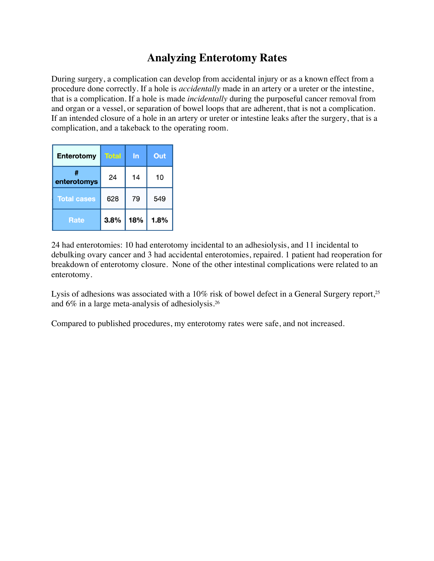## **Analyzing Enterotomy Rates**

During surgery, a complication can develop from accidental injury or as a known effect from a procedure done correctly. If a hole is *accidentally* made in an artery or a ureter or the intestine, that is a complication. If a hole is made *incidentally* during the purposeful cancer removal from and organ or a vessel, or separation of bowel loops that are adherent, that is not a complication. If an intended closure of a hole in an artery or ureter or intestine leaks after the surgery, that is a complication, and a takeback to the operating room.

| <b>Enterotomy</b>  | <b>Total</b> | In  | Out  |
|--------------------|--------------|-----|------|
| enterotomys        | 24           | 14  | 10   |
| <b>Total cases</b> | 628          | 79  | 549  |
| <b>Rate</b>        | 3.8%         | 18% | 1.8% |

24 had enterotomies: 10 had enterotomy incidental to an adhesiolysis, and 11 incidental to debulking ovary cancer and 3 had accidental enterotomies, repaired. 1 patient had reoperation for breakdown of enterotomy closure. None of the other intestinal complications were related to an enterotomy.

Lysis of adhesions was associated with a 10% risk of bowel defect in a General Surgery report,<sup>25</sup> and 6% in a large meta-analysis of adhesiolysis.26

Compared to published procedures, my enterotomy rates were safe, and not increased.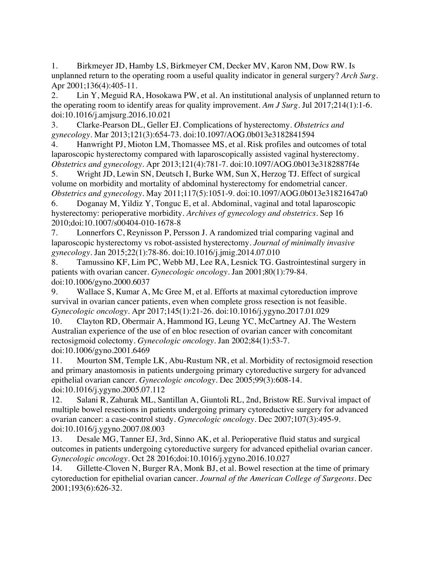1. Birkmeyer JD, Hamby LS, Birkmeyer CM, Decker MV, Karon NM, Dow RW. Is unplanned return to the operating room a useful quality indicator in general surgery? *Arch Surg*. Apr 2001;136(4):405-11.

2. Lin Y, Meguid RA, Hosokawa PW, et al. An institutional analysis of unplanned return to the operating room to identify areas for quality improvement. *Am J Surg*. Jul 2017;214(1):1-6. doi:10.1016/j.amjsurg.2016.10.021

3. Clarke-Pearson DL, Geller EJ. Complications of hysterectomy. *Obstetrics and gynecology*. Mar 2013;121(3):654-73. doi:10.1097/AOG.0b013e3182841594

4. Hanwright PJ, Mioton LM, Thomassee MS, et al. Risk profiles and outcomes of total laparoscopic hysterectomy compared with laparoscopically assisted vaginal hysterectomy. *Obstetrics and gynecology*. Apr 2013;121(4):781-7. doi:10.1097/AOG.0b013e3182887f4e

5. Wright JD, Lewin SN, Deutsch I, Burke WM, Sun X, Herzog TJ. Effect of surgical volume on morbidity and mortality of abdominal hysterectomy for endometrial cancer. *Obstetrics and gynecology*. May 2011;117(5):1051-9. doi:10.1097/AOG.0b013e31821647a0

6. Doganay M, Yildiz Y, Tonguc E, et al. Abdominal, vaginal and total laparoscopic hysterectomy: perioperative morbidity. *Archives of gynecology and obstetrics*. Sep 16 2010;doi:10.1007/s00404-010-1678-8

7. Lonnerfors C, Reynisson P, Persson J. A randomized trial comparing vaginal and laparoscopic hysterectomy vs robot-assisted hysterectomy. *Journal of minimally invasive gynecology*. Jan 2015;22(1):78-86. doi:10.1016/j.jmig.2014.07.010

8. Tamussino KF, Lim PC, Webb MJ, Lee RA, Lesnick TG. Gastrointestinal surgery in patients with ovarian cancer. *Gynecologic oncology*. Jan 2001;80(1):79-84. doi:10.1006/gyno.2000.6037

9. Wallace S, Kumar A, Mc Gree M, et al. Efforts at maximal cytoreduction improve survival in ovarian cancer patients, even when complete gross resection is not feasible. *Gynecologic oncology*. Apr 2017;145(1):21-26. doi:10.1016/j.ygyno.2017.01.029

10. Clayton RD, Obermair A, Hammond IG, Leung YC, McCartney AJ. The Western Australian experience of the use of en bloc resection of ovarian cancer with concomitant rectosigmoid colectomy. *Gynecologic oncology*. Jan 2002;84(1):53-7. doi:10.1006/gyno.2001.6469

11. Mourton SM, Temple LK, Abu-Rustum NR, et al. Morbidity of rectosigmoid resection and primary anastomosis in patients undergoing primary cytoreductive surgery for advanced epithelial ovarian cancer. *Gynecologic oncology*. Dec 2005;99(3):608-14. doi:10.1016/j.ygyno.2005.07.112

12. Salani R, Zahurak ML, Santillan A, Giuntoli RL, 2nd, Bristow RE. Survival impact of multiple bowel resections in patients undergoing primary cytoreductive surgery for advanced ovarian cancer: a case-control study. *Gynecologic oncology*. Dec 2007;107(3):495-9. doi:10.1016/j.ygyno.2007.08.003

13. Desale MG, Tanner EJ, 3rd, Sinno AK, et al. Perioperative fluid status and surgical outcomes in patients undergoing cytoreductive surgery for advanced epithelial ovarian cancer. *Gynecologic oncology*. Oct 28 2016;doi:10.1016/j.ygyno.2016.10.027

14. Gillette-Cloven N, Burger RA, Monk BJ, et al. Bowel resection at the time of primary cytoreduction for epithelial ovarian cancer. *Journal of the American College of Surgeons*. Dec 2001;193(6):626-32.